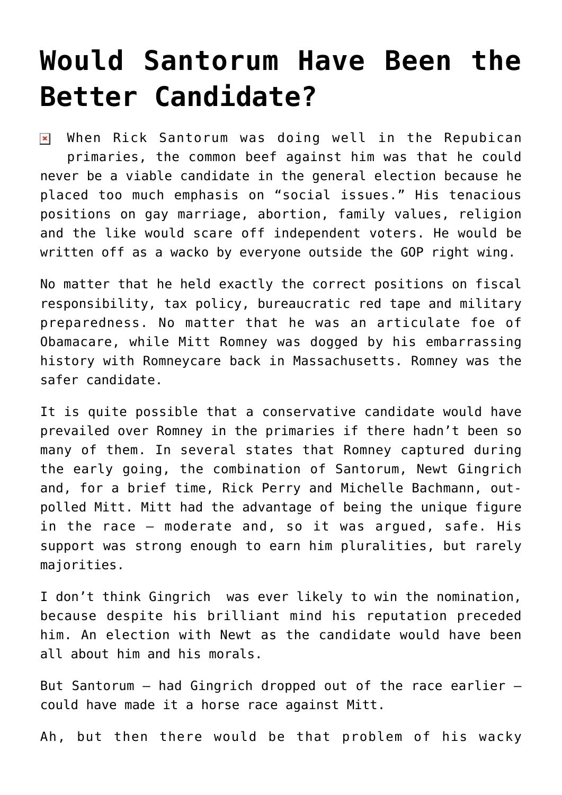## **[Would Santorum Have Been the](https://bernardgoldberg.com/would-santorum-have-been-the-better-candidate/) [Better Candidate?](https://bernardgoldberg.com/would-santorum-have-been-the-better-candidate/)**

 $\triangleright$  When Rick Santorum was doing well in the Repubican primaries, the common beef against him was that he could never be a viable candidate in the general election because he placed too much emphasis on "social issues." His tenacious positions on gay marriage, abortion, family values, religion and the like would scare off independent voters. He would be written off as a wacko by everyone outside the GOP right wing.

No matter that he held exactly the correct positions on fiscal responsibility, tax policy, bureaucratic red tape and military preparedness. No matter that he was an articulate foe of Obamacare, while Mitt Romney was dogged by his embarrassing history with Romneycare back in Massachusetts. Romney was the safer candidate.

It is quite possible that a conservative candidate would have prevailed over Romney in the primaries if there hadn't been so many of them. In several states that Romney captured during the early going, the combination of Santorum, Newt Gingrich and, for a brief time, Rick Perry and Michelle Bachmann, outpolled Mitt. Mitt had the advantage of being the unique figure in the race — moderate and, so it was argued, safe. His support was strong enough to earn him pluralities, but rarely majorities.

I don't think Gingrich was ever likely to win the nomination, because despite his brilliant mind his reputation preceded him. An election with Newt as the candidate would have been all about him and his morals.

But Santorum — had Gingrich dropped out of the race earlier could have made it a horse race against Mitt.

Ah, but then there would be that problem of his wacky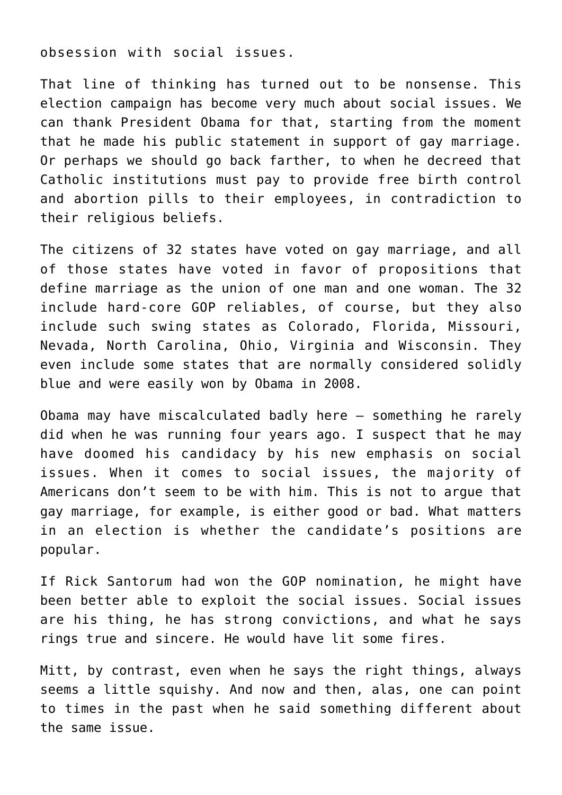obsession with social issues.

That line of thinking has turned out to be nonsense. This election campaign has become very much about social issues. We can thank President Obama for that, starting from the moment that he made his public statement in support of gay marriage. Or perhaps we should go back farther, to when he decreed that Catholic institutions must pay to provide free birth control and abortion pills to their employees, in contradiction to their religious beliefs.

The citizens of 32 states have voted on gay marriage, and all of those states have voted in favor of propositions that define marriage as the union of one man and one woman. The 32 include hard-core GOP reliables, of course, but they also include such swing states as Colorado, Florida, Missouri, Nevada, North Carolina, Ohio, Virginia and Wisconsin. They even include some states that are normally considered solidly blue and were easily won by Obama in 2008.

Obama may have miscalculated badly here — something he rarely did when he was running four years ago. I suspect that he may have doomed his candidacy by his new emphasis on social issues. When it comes to social issues, the majority of Americans don't seem to be with him. This is not to argue that gay marriage, for example, is either good or bad. What matters in an election is whether the candidate's positions are popular.

If Rick Santorum had won the GOP nomination, he might have been better able to exploit the social issues. Social issues are his thing, he has strong convictions, and what he says rings true and sincere. He would have lit some fires.

Mitt, by contrast, even when he says the right things, always seems a little squishy. And now and then, alas, one can point to times in the past when he said something different about the same issue.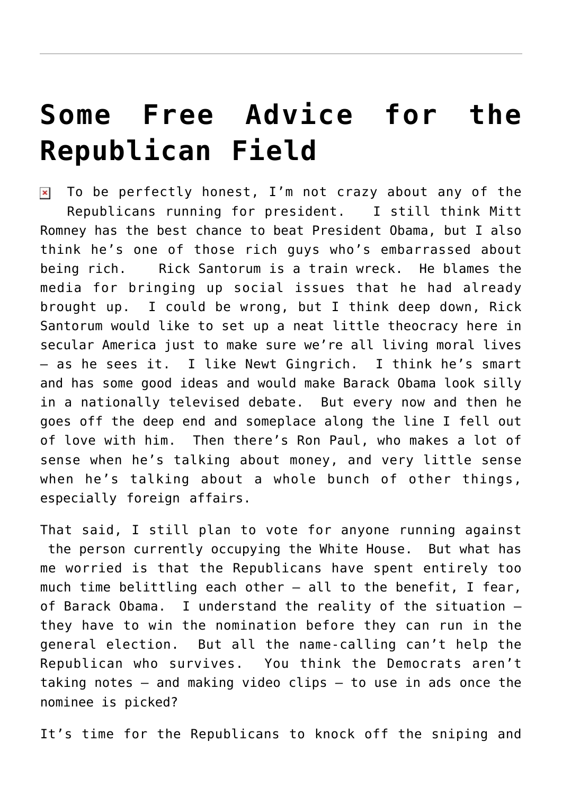## **[Some Free Advice for the](https://bernardgoldberg.com/some-free-advice-for-the-republican-field/) [Republican Field](https://bernardgoldberg.com/some-free-advice-for-the-republican-field/)**

 $\overline{\mathbf{x}}$  To be perfectly honest, I'm not crazy about any of the Republicans running for president. I still think Mitt Romney has the best chance to beat President Obama, but I also think he's one of those rich guys who's embarrassed about being rich. Rick Santorum is a train wreck. He blames the media for bringing up social issues that he had already brought up. I could be wrong, but I think deep down, Rick Santorum would like to set up a neat little theocracy here in secular America just to make sure we're all living moral lives – as he sees it. I like Newt Gingrich. I think he's smart and has some good ideas and would make Barack Obama look silly in a nationally televised debate. But every now and then he goes off the deep end and someplace along the line I fell out of love with him. Then there's Ron Paul, who makes a lot of sense when he's talking about money, and very little sense when he's talking about a whole bunch of other things, especially foreign affairs.

That said, I still plan to vote for anyone running against the person currently occupying the White House. But what has me worried is that the Republicans have spent entirely too much time belittling each other  $-$  all to the benefit, I fear, of Barack Obama. I understand the reality of the situation – they have to win the nomination before they can run in the general election. But all the name-calling can't help the Republican who survives. You think the Democrats aren't taking notes – and making video clips – to use in ads once the nominee is picked?

It's time for the Republicans to knock off the sniping and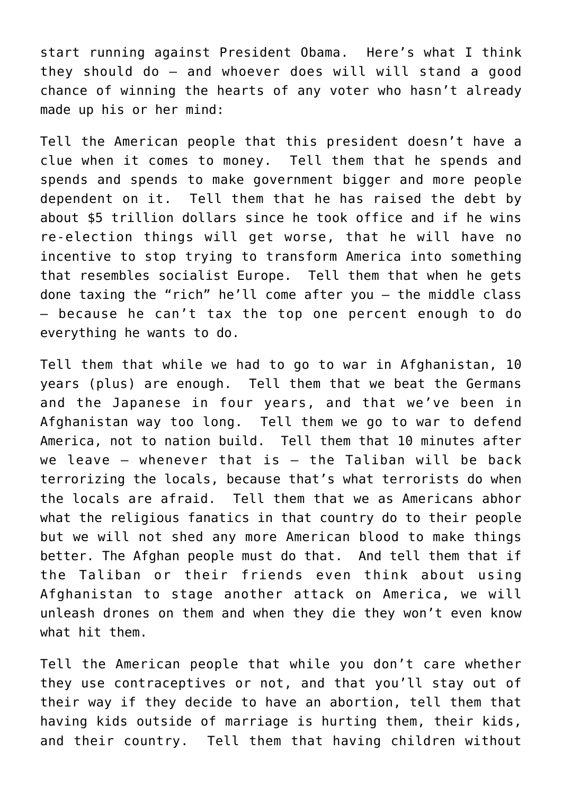start running against President Obama. Here's what I think they should do — and whoever does will will stand a good chance of winning the hearts of any voter who hasn't already made up his or her mind:

Tell the American people that this president doesn't have a clue when it comes to money. Tell them that he spends and spends and spends to make government bigger and more people dependent on it. Tell them that he has raised the debt by about \$5 trillion dollars since he took office and if he wins re-election things will get worse, that he will have no incentive to stop trying to transform America into something that resembles socialist Europe. Tell them that when he gets done taxing the "rich" he'll come after you – the middle class – because he can't tax the top one percent enough to do everything he wants to do.

Tell them that while we had to go to war in Afghanistan, 10 years (plus) are enough. Tell them that we beat the Germans and the Japanese in four years, and that we've been in Afghanistan way too long. Tell them we go to war to defend America, not to nation build. Tell them that 10 minutes after we leave  $-$  whenever that is  $-$  the Taliban will be back terrorizing the locals, because that's what terrorists do when the locals are afraid. Tell them that we as Americans abhor what the religious fanatics in that country do to their people but we will not shed any more American blood to make things better. The Afghan people must do that. And tell them that if the Taliban or their friends even think about using Afghanistan to stage another attack on America, we will unleash drones on them and when they die they won't even know what hit them.

Tell the American people that while you don't care whether they use contraceptives or not, and that you'll stay out of their way if they decide to have an abortion, tell them that having kids outside of marriage is hurting them, their kids, and their country. Tell them that having children without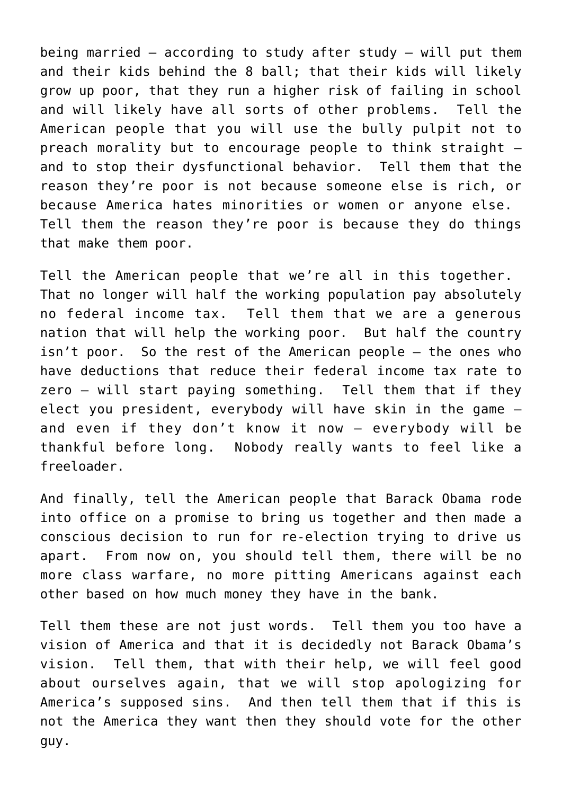being married – according to study after study – will put them and their kids behind the 8 ball; that their kids will likely grow up poor, that they run a higher risk of failing in school and will likely have all sorts of other problems. Tell the American people that you will use the bully pulpit not to preach morality but to encourage people to think straight – and to stop their dysfunctional behavior. Tell them that the reason they're poor is not because someone else is rich, or because America hates minorities or women or anyone else. Tell them the reason they're poor is because they do things that make them poor.

Tell the American people that we're all in this together. That no longer will half the working population pay absolutely no federal income tax. Tell them that we are a generous nation that will help the working poor. But half the country isn't poor. So the rest of the American people – the ones who have deductions that reduce their federal income tax rate to zero – will start paying something. Tell them that if they elect you president, everybody will have skin in the game – and even if they don't know it now – everybody will be thankful before long. Nobody really wants to feel like a freeloader.

And finally, tell the American people that Barack Obama rode into office on a promise to bring us together and then made a conscious decision to run for re-election trying to drive us apart. From now on, you should tell them, there will be no more class warfare, no more pitting Americans against each other based on how much money they have in the bank.

Tell them these are not just words. Tell them you too have a vision of America and that it is decidedly not Barack Obama's vision. Tell them, that with their help, we will feel good about ourselves again, that we will stop apologizing for America's supposed sins. And then tell them that if this is not the America they want then they should vote for the other guy.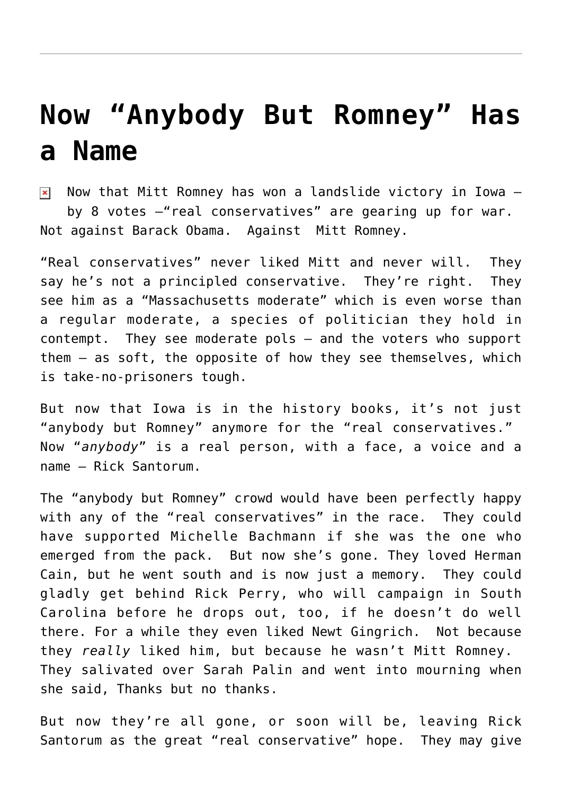## **[Now "Anybody But Romney" Has](https://bernardgoldberg.com/now-anybody-but-romney-has-a-name/) [a Name](https://bernardgoldberg.com/now-anybody-but-romney-has-a-name/)**

Now that Mitt Romney has won a landslide victory in Iowa  $$ by 8 votes –"real conservatives" are gearing up for war. Not against Barack Obama. Against Mitt Romney.

"Real conservatives" never liked Mitt and never will. They say he's not a principled conservative. They're right. They see him as a "Massachusetts moderate" which is even worse than a regular moderate, a species of politician they hold in contempt. They see moderate pols – and the voters who support them – as soft, the opposite of how they see themselves, which is take-no-prisoners tough.

But now that Iowa is in the history books, it's not just "anybody but Romney" anymore for the "real conservatives." Now "*anybody*" is a real person, with a face, a voice and a name – Rick Santorum.

The "anybody but Romney" crowd would have been perfectly happy with any of the "real conservatives" in the race. They could have supported Michelle Bachmann if she was the one who emerged from the pack. But now she's gone. They loved Herman Cain, but he went south and is now just a memory. They could gladly get behind Rick Perry, who will campaign in South Carolina before he drops out, too, if he doesn't do well there. For a while they even liked Newt Gingrich. Not because they *really* liked him, but because he wasn't Mitt Romney. They salivated over Sarah Palin and went into mourning when she said, Thanks but no thanks.

But now they're all gone, or soon will be, leaving Rick Santorum as the great "real conservative" hope. They may give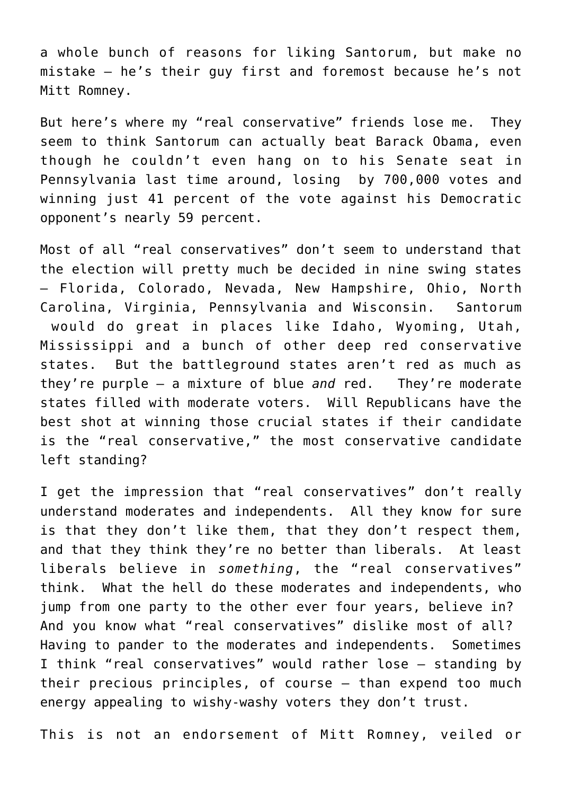a whole bunch of reasons for liking Santorum, but make no mistake – he's their guy first and foremost because he's not Mitt Romney.

But here's where my "real conservative" friends lose me. They seem to think Santorum can actually beat Barack Obama, even though he couldn't even hang on to his Senate seat in Pennsylvania last time around, losing by 700,000 votes and winning just 41 percent of the vote against his Democratic opponent's nearly 59 percent.

Most of all "real conservatives" don't seem to understand that the election will pretty much be decided in nine swing states – Florida, Colorado, Nevada, New Hampshire, Ohio, North Carolina, Virginia, Pennsylvania and Wisconsin. Santorum would do great in places like Idaho, Wyoming, Utah, Mississippi and a bunch of other deep red conservative states. But the battleground states aren't red as much as they're purple – a mixture of blue *and* red. They're moderate states filled with moderate voters. Will Republicans have the best shot at winning those crucial states if their candidate is the "real conservative," the most conservative candidate left standing?

I get the impression that "real conservatives" don't really understand moderates and independents. All they know for sure is that they don't like them, that they don't respect them, and that they think they're no better than liberals. At least liberals believe in *something*, the "real conservatives" think. What the hell do these moderates and independents, who jump from one party to the other ever four years, believe in? And you know what "real conservatives" dislike most of all? Having to pander to the moderates and independents. Sometimes I think "real conservatives" would rather lose – standing by their precious principles, of course – than expend too much energy appealing to wishy-washy voters they don't trust.

This is not an endorsement of Mitt Romney, veiled or